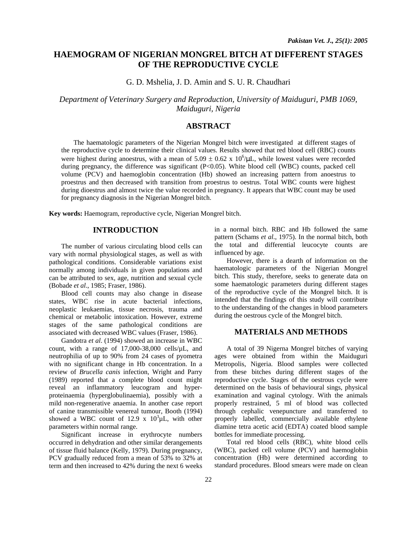# **HAEMOGRAM OF NIGERIAN MONGREL BITCH AT DIFFERENT STAGES OF THE REPRODUCTIVE CYCLE**

G. D. Mshelia, J. D. Amin and S. U. R. Chaudhari

*Department of Veterinary Surgery and Reproduction, University of Maiduguri, PMB 1069, Maiduguri, Nigeria* 

## **ABSTRACT**

The haematologic parameters of the Nigerian Mongrel bitch were investigated at different stages of the reproductive cycle to determine their clinical values. Results showed that red blood cell (RBC) counts were highest during anoestrus, with a mean of  $5.09 \pm 0.62 \times 10^6/\mu$ L, while lowest values were recorded during pregnancy, the difference was significant (P<0.05). White blood cell (WBC) counts, packed cell volume (PCV) and haemoglobin concentration (Hb) showed an increasing pattern from anoestrus to proestrus and then decreased with transition from proestrus to oestrus. Total WBC counts were highest during dioestrus and almost twice the value recorded in pregnancy. It appears that WBC count may be used for pregnancy diagnosis in the Nigerian Mongrel bitch.

**Key words:** Haemogram, reproductive cycle, Nigerian Mongrel bitch.

### **INTRODUCTION**

 The number of various circulating blood cells can vary with normal physiological stages, as well as with pathological conditions. Considerable variations exist normally among individuals in given populations and can be attributed to sex, age, nutrition and sexual cycle (Bobade *et al*., 1985; Fraser, 1986).

 Blood cell counts may also change in disease states, WBC rise in acute bacterial infections, neoplastic leukaemias, tissue necrosis, trauma and chemical or metabolic intoxication. However, extreme stages of the same pathological conditions are associated with decreased WBC values (Fraser, 1986).

 Gandotra *et al*. (1994) showed an increase in WBC count, with a range of 17,000-38,000 cells/µL, and neutrophilia of up to 90% from 24 cases of pyometra with no significant change in Hb concentration. In a review of *Brucella canis* infection, Wright and Parry (1989) reported that a complete blood count might reveal an inflammatory leucogram and hyperproteinaemia (hyperglobulinaemia), possibly with a mild non-regenerative anaemia. In another case report of canine transmissible venereal tumour, Booth (1994) showed a WBC count of 12.9 x  $10^3 \mu L$ , with other parameters within normal range.

 Significant increase in erythrocyte numbers occurred in dehydration and other similar derangements of tissue fluid balance (Kelly, 1979). During pregnancy, PCV gradually reduced from a mean of 53% to 32% at term and then increased to 42% during the next 6 weeks in a normal bitch. RBC and Hb followed the same pattern (Schams *et al*., 1975). In the normal bitch, both the total and differential leucocyte counts are influenced by age.

 However, there is a dearth of information on the haematologic parameters of the Nigerian Mongrel bitch. This study, therefore, seeks to generate data on some haematologic parameters during different stages of the reproductive cycle of the Mongrel bitch. It is intended that the findings of this study will contribute to the understanding of the changes in blood parameters during the oestrous cycle of the Mongrel bitch.

#### **MATERIALS AND METHODS**

 A total of 39 Nigerna Mongrel bitches of varying ages were obtained from within the Maiduguri Metropolis, Nigeria. Blood samples were collected from these bitches during different stages of the reproductive cycle. Stages of the oestrous cycle were determined on the basis of behavioural sings, physical examination and vaginal cytology. With the animals properly restrained, 5 ml of blood was collected through cephalic venepuncture and transferred to properly labelled, commercially available ethylene diamine tetra acetic acid (EDTA) coated blood sample bottles for immediate processing.

 Total red blood cells (RBC), white blood cells (WBC), packed cell volume (PCV) and haemoglobin concentration (Hb) were determined according to standard procedures. Blood smears were made on clean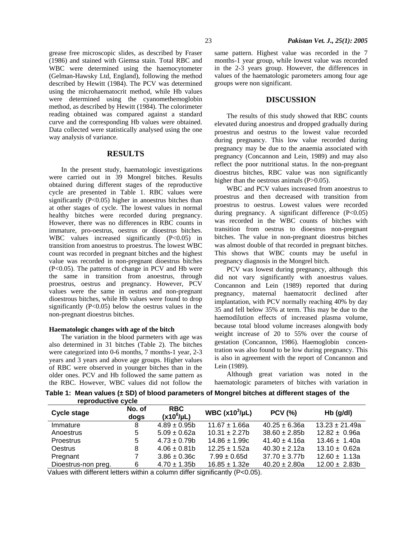grease free microscopic slides, as described by Fraser (1986) and stained with Giemsa stain. Total RBC and WBC were determined using the haemocytometer (Gelman-Hawsky Ltd, England), following the method described by Hewitt (1984). The PCV was determined using the microhaematocrit method, while Hb values were determined using the cyanomethemoglobin method, as described by Hewitt (1984). The colorimeter reading obtained was compared against a standard curve and the corresponding Hb values were obtained. Data collected were statistically analysed using the one way analysis of variance.

## **RESULTS**

 In the present study, haematologic investigations were carried out in 39 Mongrel bitches. Results obtained during different stages of the reproductive cycle are presented in Table 1. RBC values were significantly (P<0.05) higher in anoestrus bitches than at other stages of cycle. The lowest values in normal healthy bitches were recorded during pregnancy. However, there was no differences in RBC counts in immature, pro-oestrus, oestrus or dioestrus bitches. WBC values increased significantly (P<0.05) in transition from anoestrus to proestrus. The lowest WBC count was recorded in pregnant bitches and the highest value was recorded in non-pregnant dioestrus bitches (P<0.05). The patterns of change in PCV and Hb were the same in transition from anoestrus, through proestrus, oestrus and pregnancy. However, PCV values were the same in oestrus and non-pregnant dioestrous bitches, while Hb values were found to drop significantly  $(P<0.05)$  below the oestrus values in the non-pregnant dioestrus bitches.

#### **Haematologic changes with age of the bitch**

 The variation in the blood parmeters with age was also determined in 31 bitches (Table 2). The bitches were categorized into 0-6 months, 7 months-1 year, 2-3 years and 3 years and above age groups. Higher values of RBC were observed in younger bitches than in the older ones. PCV and Hb followed the same pattern as the RBC. However, WBC values did not follow the same pattern. Highest value was recorded in the 7 months-1 year group, while lowest value was recorded in the 2-3 years group. However, the differences in values of the haematologic parometers among four age groups were non significant.

#### **DISCUSSION**

 The results of this study showed that RBC counts elevated during anoestrus and dropped gradually during proestrus and oestrus to the lowest value recorded during pregnancy. This low value recorded during pregnancy may be due to the anaemia associated with pregnancy (Concannon and Lein, 1989) and may also reflect the poor nutritional status. In the non-pregnant dioestrus bitches, RBC value was non significantly higher than the oestrous animals (P>0.05).

 WBC and PCV values increased from anoestrus to proestrus and then decreased with transition from proestrus to oestrus. Lowest values were recorded during pregnancy. A significant difference (P<0.05) was recorded in the WBC counts of bitches with transition from oestrus to dioestrus non-pregnant bitches. The value in non-pregnant dioestrus bitches was almost double of that recorded in pregnant bitches. This shows that WBC counts may be useful in pregnancy diagnosis in the Mongrel bitch.

 PCV was lowest during pregnancy, although this did not vary significantly with anoestrus values. Concannon and Lein (1989) reported that during pregnancy, maternal haematocrit declined after implantation, with PCV normally reaching 40% by day 35 and fell below 35% at term. This may be due to the haemodilution effects of increased plasma volume, because total blood volume increases alongwith body weight increase of 20 to 55% over the course of gestation (Concannon, 1986). Haemoglobin concentration was also found to be low during pregnancy. This is also in agreement with the report of Concannon and Lein (1989).

 Although great variation was noted in the haematologic parameters of bitches with variation in

 **Table 1: Mean values (± SD) of blood parameters of Mongrel bitches at different stages of the reproductive cycle** 

| <b>Cycle stage</b>  | No. of<br>dogs | <b>RBC</b><br>$(x10^6/\mu L)$ | WBC $(x10^3/\mu L)$ | <b>PCV (%)</b>     | $Hb$ (g/dl)        |
|---------------------|----------------|-------------------------------|---------------------|--------------------|--------------------|
| Immature            | 8              | $4.89 \pm 0.95$ b             | $11.67 \pm 1.66a$   | $40.25 \pm 6.36a$  | $13.23 \pm 21.49a$ |
| Anoestrus           | 5              | $5.09 \pm 0.62a$              | $10.31 \pm 2.27$ b  | $38.60 \pm 2.85b$  | $12.82 \pm 0.96a$  |
| <b>Proestrus</b>    | 5              | $4.73 \pm 0.79$ b             | $14.86 \pm 1.99c$   | $41.40 \pm 4.16a$  | $13.46 \pm 1.40a$  |
| <b>Oestrus</b>      | 8              | $4.06 \pm 0.81$               | $12.25 + 1.52a$     | $40.30 \pm 2.12a$  | $13.10 \pm 0.62a$  |
| Pregnant            |                | $3.86 \pm 0.36c$              | $7.99 \pm 0.65$ d   | $37.70 \pm 3.77$ b | $12.60 \pm 1.13a$  |
| Dioestrus-non preg. | 6              | $4.70 \pm 1.35b$              | $16.85 \pm 1.32e$   | $40.20 \pm 2.80a$  | $12.00 \pm 2.83b$  |

Values with different letters within a column differ significantly (P<0.05).